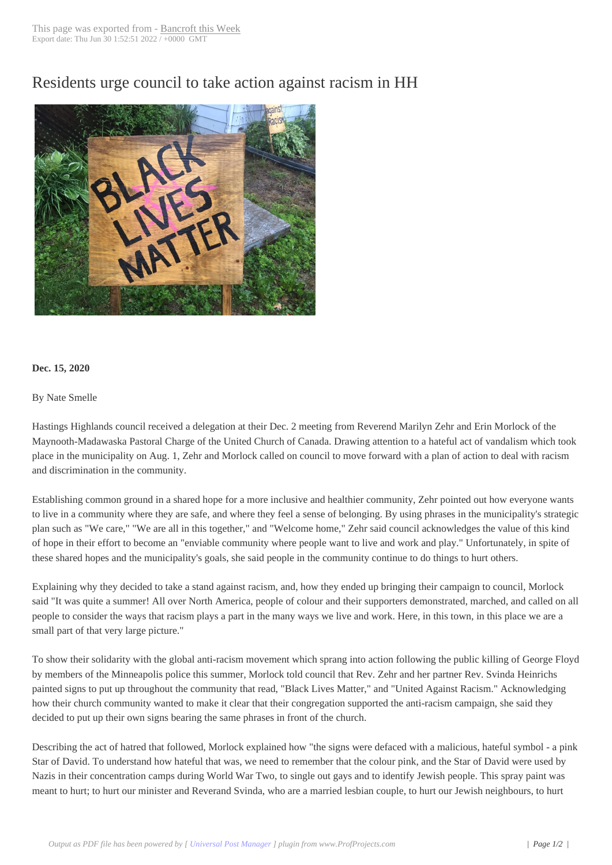## Residents urge cou[ncil to take a](http://www.bancroftthisweek.com/?p=11153)ction against racism in HH



## **Dec. 15, 2020**

## By Nate Smelle

Hastings Highlands council received a delegation at their Dec. 2 meeting from Reverend Marilyn Zehr and Erin Morlock of the Maynooth-Madawaska Pastoral Charge of the United Church of Canada. Drawing attention to a hateful act of vandalism which took place in the municipality on Aug. 1, Zehr and Morlock called on council to move forward with a plan of action to deal with racism and discrimination in the community.

Establishing common ground in a shared hope for a more inclusive and healthier community, Zehr pointed out how everyone wants to live in a community where they are safe, and where they feel a sense of belonging. By using phrases in the municipality's strategic plan such as "We care," "We are all in this together," and "Welcome home," Zehr said council acknowledges the value of this kind of hope in their effort to become an "enviable community where people want to live and work and play." Unfortunately, in spite of these shared hopes and the municipality's goals, she said people in the community continue to do things to hurt others.

Explaining why they decided to take a stand against racism, and, how they ended up bringing their campaign to council, Morlock said "It was quite a summer! All over North America, people of colour and their supporters demonstrated, marched, and called on all people to consider the ways that racism plays a part in the many ways we live and work. Here, in this town, in this place we are a small part of that very large picture."

To show their solidarity with the global anti-racism movement which sprang into action following the public killing of George Floyd by members of the Minneapolis police this summer, Morlock told council that Rev. Zehr and her partner Rev. Svinda Heinrichs painted signs to put up throughout the community that read, "Black Lives Matter," and "United Against Racism." Acknowledging how their church community wanted to make it clear that their congregation supported the anti-racism campaign, she said they decided to put up their own signs bearing the same phrases in front of the church.

Describing the act of hatred that followed, Morlock explained how "the signs were defaced with a malicious, hateful symbol - a pink Star of David. To understand how hateful that was, we need to remember that the colour pink, and the Star of David were used by Nazis in their concentration camps during World War Two, to single out gays and to identify Jewish people. This spray paint was meant to hurt; to hurt our minister and Reverand Svinda, who are a married lesbian couple, to hurt our Jewish neighbours, to hurt